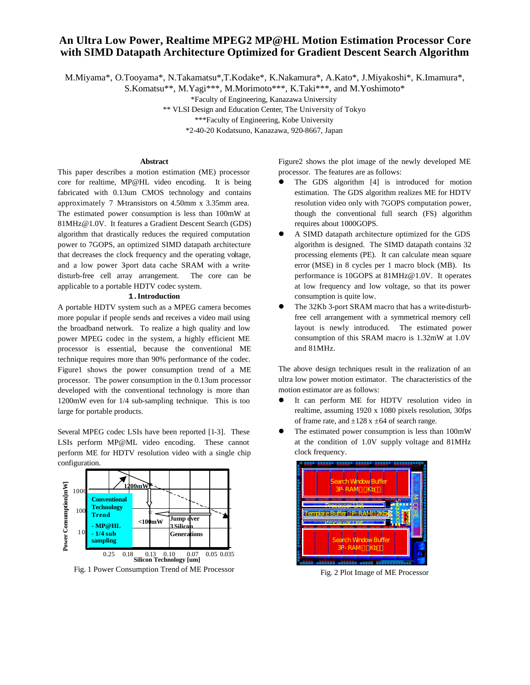# **An Ultra Low Power, Realtime MPEG2 MP@HL Motion Estimation Processor Core with SIMD Datapath Architecture Optimized for Gradient Descent Search Algorithm**

M.Miyama\*, O.Tooyama\*, N.Takamatsu\*,T.Kodake\*, K.Nakamura\*, A.Kato\*, J.Miyakoshi\*, K.Imamura\*,

S.Komatsu\*\*, M.Yagi\*\*\*, M.Morimoto\*\*\*, K.Taki\*\*\*, and M.Yoshimoto\*

\*Faculty of Engineering, Kanazawa University

\*\* VLSI Design and Education Center, The University of Tokyo

\*\*\*Faculty of Engineering, Kobe University

\*2-40-20 Kodatsuno, Kanazawa, 920-8667, Japan

### **Abstract**

This paper describes a motion estimation (ME) processor core for realtime, MP@HL video encoding. It is being fabricated with 0.13um CMOS technology and contains approximately 7 M-transistors on 4.50mm x 3.35mm area. The estimated power consumption is less than 100mW at 81MHz@1.0V. It features a Gradient Descent Search (GDS) algorithm that drastically reduces the required computation power to 7GOPS, an optimized SIMD datapath architecture that decreases the clock frequency and the operating voltage, and a low power 3-port data cache SRAM with a writedisturb-free cell array arrangement. The core can be applicable to a portable HDTV codec system.

#### **1.Introduction**

A portable HDTV system such as a MPEG camera becomes more popular if people sends and receives a video mail using the broadband network. To realize a high quality and low power MPEG codec in the system, a highly efficient ME processor is essential, because the conventional ME technique requires more than 90% performance of the codec. Figure1 shows the power consumption trend of a ME processor. The power consumption in the 0.13um processor developed with the conventional technology is more than 1200mW even for 1/4 sub-sampling technique. This is too large for portable products.

Several MPEG codec LSIs have been reported [1-3]. These LSIs perform MP@ML video encoding. These cannot perform ME for HDTV resolution video with a single chip configuration.



Fig. 1 Power Consumption Trend of ME Processor

Figure2 shows the plot image of the newly developed ME processor. The features are as follows:

- The GDS algorithm [4] is introduced for motion estimation. The GDS algorithm realizes ME for HDTV resolution video only with 7GOPS computation power, though the conventional full search (FS) algorithm requires about 1000GOPS.
- A SIMD datapath architecture optimized for the GDS algorithm is designed. The SIMD datapath contains 32 processing elements (PE). It can calculate mean square error (MSE) in 8 cycles per 1 macro block (MB). Its performance is 10GOPS at 81MHz@1.0V. It operates at low frequency and low voltage, so that its power consumption is quite low.
- The 32Kb 3-port SRAM macro that has a write-disturbfree cell arrangement with a symmetrical memory cell layout is newly introduced. The estimated power consumption of this SRAM macro is 1.32mW at 1.0V and 81MHz.

The above design techniques result in the realization of an ultra low power motion estimator. The characteristics of the motion estimator are as follows:

- $\bullet$  It can perform ME for HDTV resolution video in realtime, assuming 1920 x 1080 pixels resolution, 30fps of frame rate, and  $\pm 128$  x  $\pm 64$  of search range.
- $\bullet$  The estimated power consumption is less than 100mW at the condition of 1.0V supply voltage and 81MHz clock frequency.



Fig. 2 Plot Image of ME Processor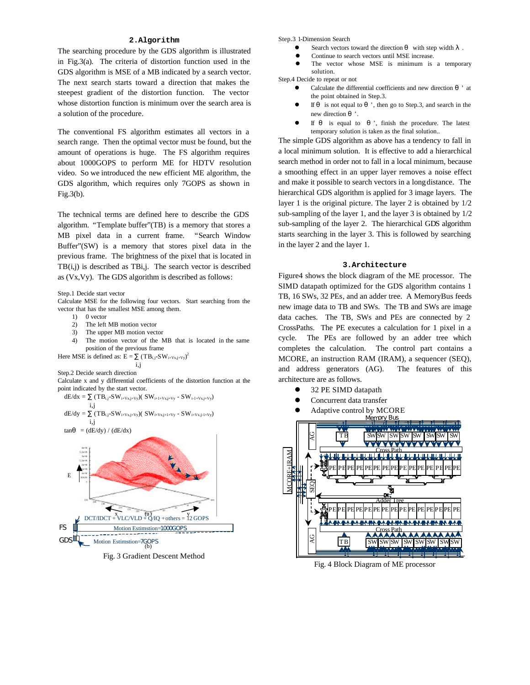#### **2.Algorithm**

The searching procedure by the GDS algorithm is illustrated in Fig.3(a). The criteria of distortion function used in the GDS algorithm is MSE of a MB indicated by a search vector. The next search starts toward a direction that makes the steepest gradient of the distortion function. The vector whose distortion function is minimum over the search area is a solution of the procedure.

The conventional FS algorithm estimates all vectors in a search range. Then the optimal vector must be found, but the amount of operations is huge. The FS algorithm requires about 1000GOPS to perform ME for HDTV resolution video. So we introduced the new efficient ME algorithm, the GDS algorithm, which requires only 7GOPS as shown in Fig.3(b).

The technical terms are defined here to describe the GDS algorithm. "Template buffer"(TB) is a memory that stores a MB pixel data in a current frame. "Search Window Buffer"(SW) is a memory that stores pixel data in the previous frame. The brightness of the pixel that is located in  $TB(i,j)$  is described as TBi,j. The search vector is described as (Vx,Vy). The GDS algorithm is described as follows:

Step.1 Decide start vector

Calculate MSE for the following four vectors. Start searching from the vector that has the smallest MSE among them.

- 1) 0 vector
- 2) The left MB motion vector
- 3) The upper MB motion vector
- 4) The motion vector of the MB that is located in the same position of the previous frame

Here MSE is defined as:  $E = (TB_{i,j}-SW_{i+Vx,j+Vy})^2$ i,j

Step.2 Decide search direction

Calculate x and y differential coefficients of the distortion function at the point indicated by the start vector.

$$
dE/dx = (TB_{i,j} - SW_{i+Vx,j+Vy})(SW_{i+1+Vx,j+Vy} - SW_{i-1+Vx,j+Vy})
$$
  
i,j

$$
\begin{aligned} dE/dy &= \quad & (TB_{i,j} \text{-}SW_{i+Vx,j+Vy}) ( \text{ SW}_{i+Vx,j+1+Vy} \text{ - } SW_{i+Vx,j-1+Vy}) \\ &\quad i,j \\ \tan &= \left( dE/dy \right) / \left( dE/dx \right) \end{aligned}
$$



Fig. 3 Gradient Descent Method

Step.3 1-Dimension Search

- Search vectors toward the direction with step width
- Continue to search vectors until MSE increase.
- The vector whose MSE is minimum is a temporary solution.
- Step.4 Decide to repeat or not
	- l Calculate the differential coefficients and new direction ' at the point obtained in Step.3.
	- If is not equal to ', then go to Step.3, and search in the new direction '.
	- If is equal to  $\cdot$ , finish the procedure. The latest temporary solution is taken as the final solution..

The simple GDS algorithm as above has a tendency to fall in a local minimum solution. It is effective to add a hierarchical search method in order not to fall in a local minimum, because a smoothing effect in an upper layer removes a noise effect and make it possible to search vectors in a long distance. The hierarchical GDS algorithm is applied for 3 image layers. The layer 1 is the original picture. The layer 2 is obtained by 1/2 sub-sampling of the layer 1, and the layer 3 is obtained by 1/2 sub-sampling of the layer 2. The hierarchical GDS algorithm starts searching in the layer 3. This is followed by searching in the layer 2 and the layer 1.

#### **3.Architecture**

Figure4 shows the block diagram of the ME processor. The SIMD datapath optimized for the GDS algorithm contains 1 TB, 16 SWs, 32 PEs, and an adder tree. A MemoryBus feeds new image data to TB and SWs. The TB and SWs are image data caches. The TB, SWs and PEs are connected by 2 CrossPaths. The PE executes a calculation for 1 pixel in a cycle. The PEs are followed by an adder tree which completes the calculation. The control part contains a MCORE, an instruction RAM (IRAM), a sequencer (SEQ), and address generators (AG). The features of this architecture are as follows.

- l 32 PE SIMD datapath
- Concurrent data transfer
- Adaptive control by MCORE



Fig. 4 Block Diagram of ME processor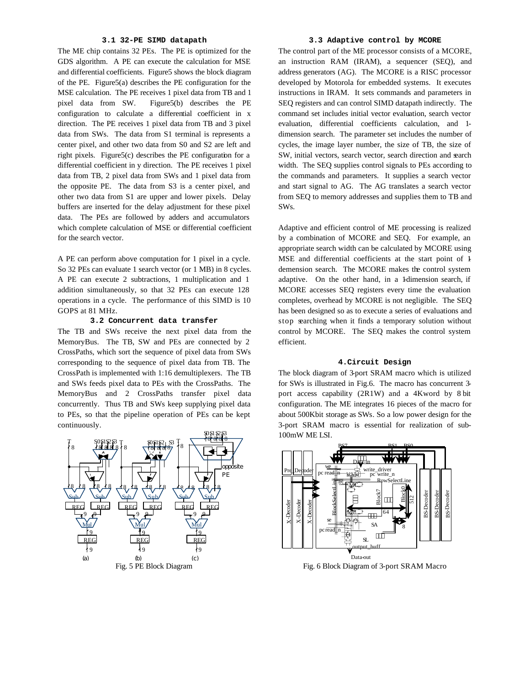#### **3.1 32-PE SIMD datapath**

The ME chip contains 32 PEs. The PE is optimized for the GDS algorithm. A PE can execute the calculation for MSE and differential coefficients. Figure5 shows the block diagram of the PE. Figure5(a) describes the PE configuration for the MSE calculation. The PE receives 1 pixel data from TB and 1 pixel data from SW. Figure5(b) describes the PE configuration to calculate a differential coefficient in x direction. The PE receives 1 pixel data from TB and 3 pixel data from SWs. The data from S1 terminal is represents a center pixel, and other two data from S0 and S2 are left and right pixels. Figure5(c) describes the PE configuration for a differential coefficient in y direction. The PE receives 1 pixel data from TB, 2 pixel data from SWs and 1 pixel data from the opposite PE. The data from S3 is a center pixel, and other two data from S1 are upper and lower pixels. Delay buffers are inserted for the delay adjustment for these pixel data. The PEs are followed by adders and accumulators which complete calculation of MSE or differential coefficient for the search vector.

A PE can perform above computation for 1 pixel in a cycle. So 32 PEs can evaluate 1 search vector (or 1 MB) in 8 cycles. A PE can execute 2 subtractions, 1 multiplication and 1 addition simultaneously, so that 32 PEs can execute 128 operations in a cycle. The performance of this SIMD is 10 GOPS at 81 MHz.

#### **3.2 Concurrent data transfer**

The TB and SWs receive the next pixel data from the MemoryBus. The TB, SW and PEs are connected by 2 CrossPaths, which sort the sequence of pixel data from SWs corresponding to the sequence of pixel data from TB. The CrossPath is implemented with 1:16 demultiplexers. The TB and SWs feeds pixel data to PEs with the CrossPaths. The MemoryBus and 2 CrossPaths transfer pixel data concurrently. Thus TB and SWs keep supplying pixel data to PEs, so that the pipeline operation of PEs can be kept continuously.



# **3.3 Adaptive control by MCORE**

The control part of the ME processor consists of a MCORE, an instruction RAM (IRAM), a sequencer (SEQ), and address generators (AG). The MCORE is a RISC processor developed by Motorola for embedded systems. It executes instructions in IRAM. It sets commands and parameters in SEQ registers and can control SIMD datapath indirectly. The command set includes initial vector evaluation, search vector evaluation, differential coefficients calculation, and 1 dimension search. The parameter set includes the number of cycles, the image layer number, the size of TB, the size of SW, initial vectors, search vector, search direction and search width. The SEQ supplies control signals to PEs according to the commands and parameters. It supplies a search vector and start signal to AG. The AG translates a search vector from SEQ to memory addresses and supplies them to TB and SWs.

Adaptive and efficient control of ME processing is realized by a combination of MCORE and SEQ. For example, an appropriate search width can be calculated by MCORE using MSE and differential coefficients at the start point of 1 demension search. The MCORE makes the control system adaptive. On the other hand, in a 1-dimension search, if MCORE accesses SEQ registers every time the evaluation completes, overhead by MCORE is not negligible. The SEQ has been designed so as to execute a series of evaluations and stop searching when it finds a temporary solution without control by MCORE. The SEQ makes the control system efficient.

#### **4.Circuit Design**

The block diagram of 3-port SRAM macro which is utilized for SWs is illustrated in Fig.6. The macro has concurrent 3 port access capability (2R1W) and a 4Kword by 8 bit configuration. The ME integrates 16 pieces of the macro for about 500Kbit storage as SWs. So a low power design for the 3-port SRAM macro is essential for realization of sub-100mW ME LSI.



Fig. 6 Block Diagram of 3-port SRAM Macro